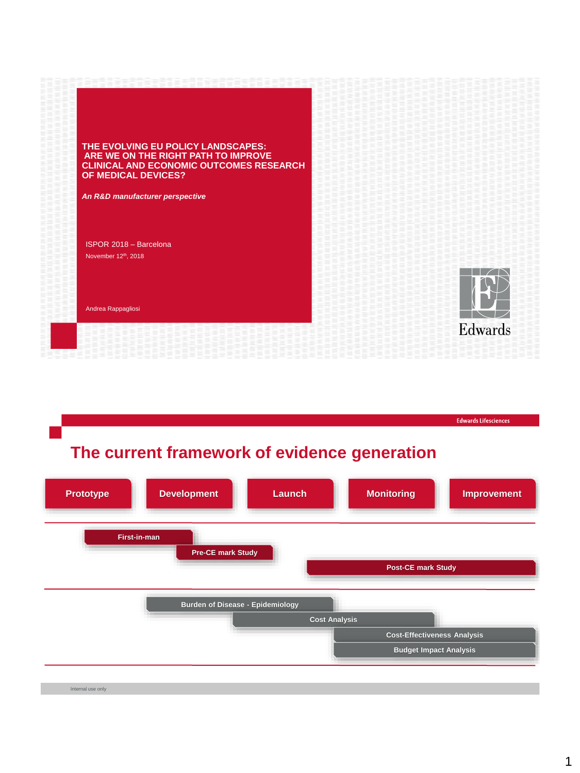| THE EVOLVING EU POLICY LANDSCAPES:<br>ARE WE ON THE RIGHT PATH TO IMPROVE<br><b>CLINICAL AND ECONOMIC OUTCOMES RESEARCH</b><br>OF MEDICAL DEVICES? |         |
|----------------------------------------------------------------------------------------------------------------------------------------------------|---------|
| An R&D manufacturer perspective                                                                                                                    |         |
| ISPOR 2018 - Barcelona                                                                                                                             |         |
| November 12th, 2018                                                                                                                                |         |
| Andrea Rappagliosi                                                                                                                                 |         |
|                                                                                                                                                    | Edwards |

# **The current framework of evidence generation**



**Edwards Lifesciences**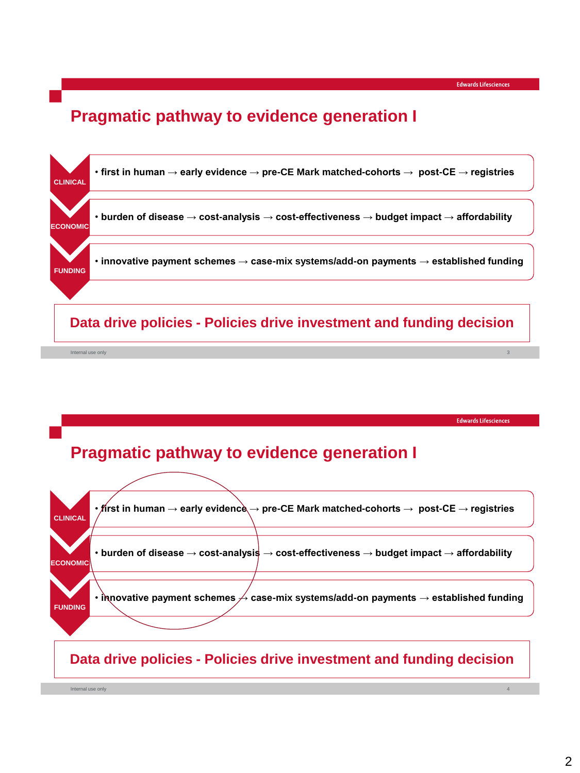### **Pragmatic pathway to evidence generation I**



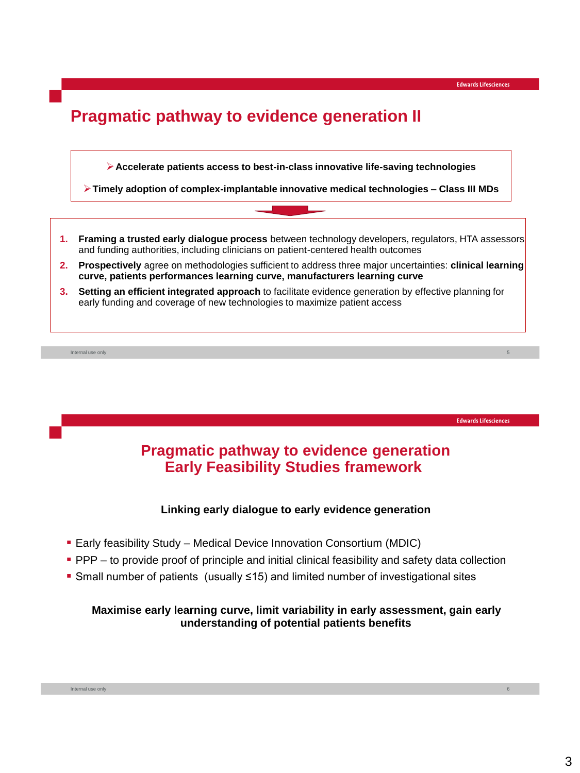5

**Edwards Lifesciences** 

6

## **Pragmatic pathway to evidence generation II**



**Timely adoption of complex-implantable innovative medical technologies – Class III MDs**

- **1. Framing a trusted early dialogue process** between technology developers, regulators, HTA assessors and funding authorities, including clinicians on patient-centered health outcomes
- **2. Prospectively** agree on methodologies sufficient to address three major uncertainties: **clinical learning curve, patients performances learning curve, manufacturers learning curve**
- **3. Setting an efficient integrated approach** to facilitate evidence generation by effective planning for early funding and coverage of new technologies to maximize patient access

Internal use only

**Pragmatic pathway to evidence generation Early Feasibility Studies framework** 

### **Linking early dialogue to early evidence generation**

- Early feasibility Study Medical Device Innovation Consortium (MDIC)
- **PPP** to provide proof of principle and initial clinical feasibility and safety data collection
- Small number of patients (usually ≤15) and limited number of investigational sites

#### **Maximise early learning curve, limit variability in early assessment, gain early understanding of potential patients benefits**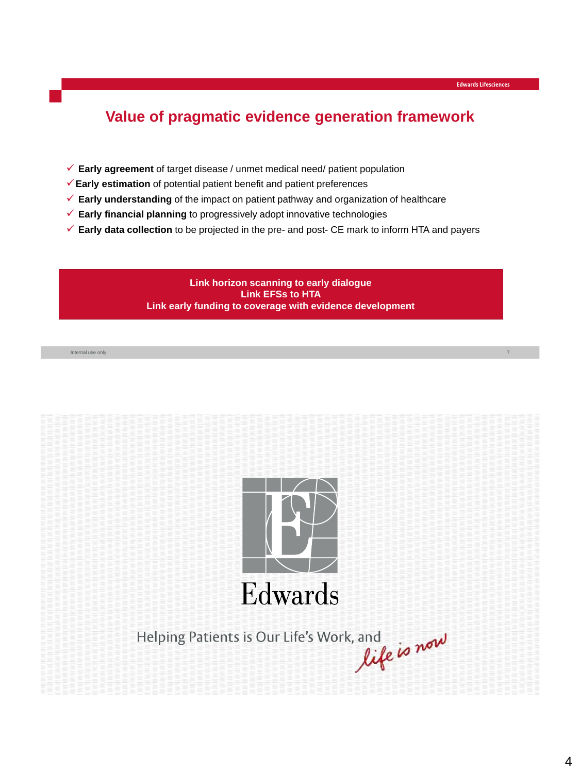7

## **Value of pragmatic evidence generation framework**

- **Early agreement** of target disease / unmet medical need/ patient population
- **Early estimation** of potential patient benefit and patient preferences
- **Early understanding** of the impact on patient pathway and organization of healthcare
- **Early financial planning** to progressively adopt innovative technologies
- **Early data collection** to be projected in the pre- and post- CE mark to inform HTA and payers

**Link horizon scanning to early dialogue Link EFSs to HTA Link early funding to coverage with evidence development**

Internal use only



s, and<br>life is now Helping Patients is Our Life's Work, and